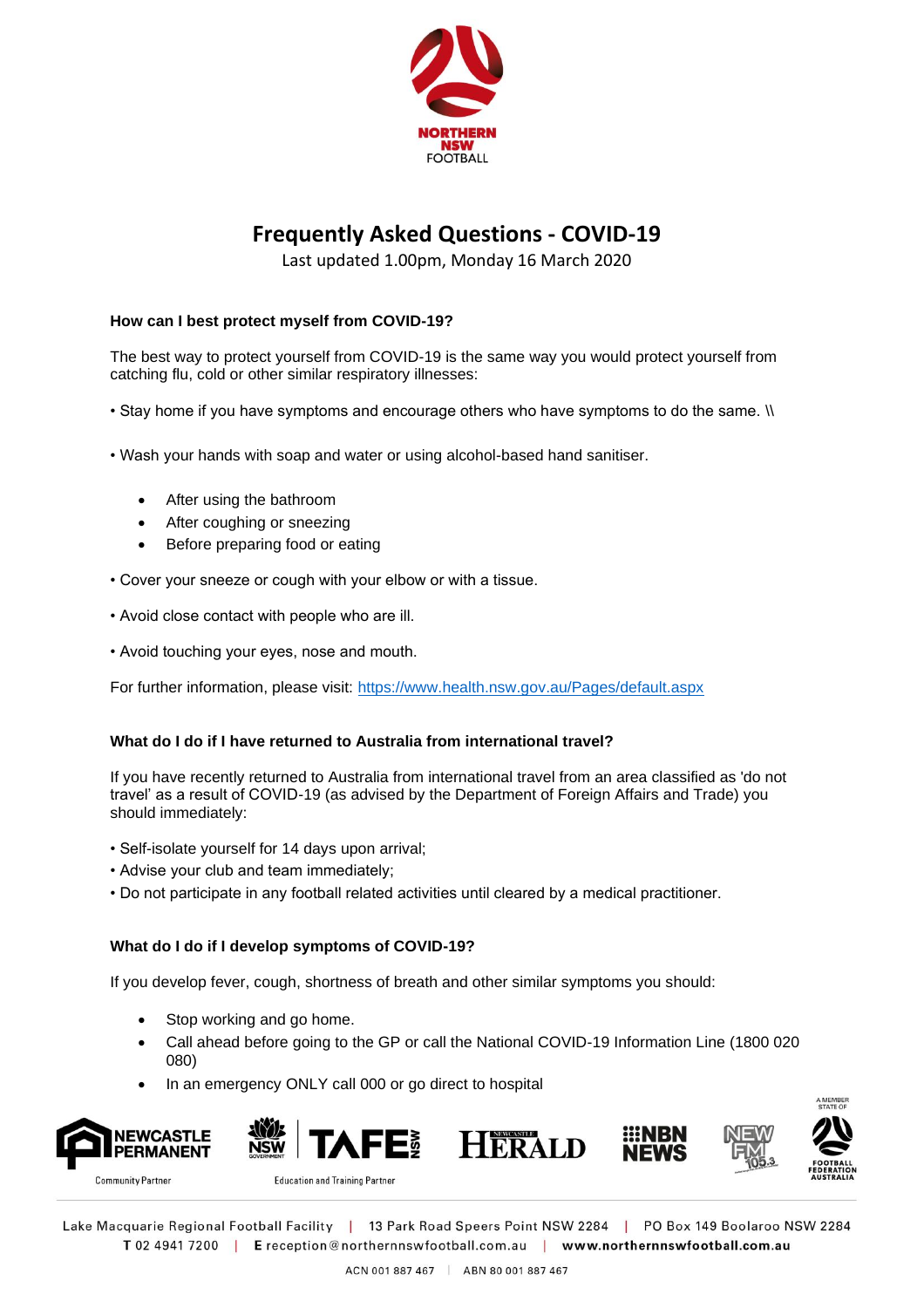

# **Frequently Asked Questions - COVID-19**

Last updated 1.00pm, Monday 16 March 2020

## **How can I best protect myself from COVID-19?**

The best way to protect yourself from COVID-19 is the same way you would protect yourself from catching flu, cold or other similar respiratory illnesses:

- Stay home if you have symptoms and encourage others who have symptoms to do the same. \\
- Wash your hands with soap and water or using alcohol-based hand sanitiser.
	- After using the bathroom
	- After coughing or sneezing
	- Before preparing food or eating
- Cover your sneeze or cough with your elbow or with a tissue.
- Avoid close contact with people who are ill.
- Avoid touching your eyes, nose and mouth.

For further information, please visit:<https://www.health.nsw.gov.au/Pages/default.aspx>

## **What do I do if I have returned to Australia from international travel?**

If you have recently returned to Australia from international travel from an area classified as 'do not travel' as a result of COVID-19 (as advised by the Department of Foreign Affairs and Trade) you should immediately:

- Self-isolate yourself for 14 days upon arrival;
- Advise your club and team immediately;
- Do not participate in any football related activities until cleared by a medical practitioner.

## **What do I do if I develop symptoms of COVID-19?**

If you develop fever, cough, shortness of breath and other similar symptoms you should:

- Stop working and go home.
- Call ahead before going to the GP or call the National COVID-19 Information Line (1800 020 080)
- In an emergency ONLY call 000 or go direct to hospital











**Community Partner** 

**Education and Training Partner** 

Lake Macquarie Regional Football Facility | 13 Park Road Speers Point NSW 2284 | PO Box 149 Boolaroo NSW 2284 T 02 4941 7200 | E reception@northernnswfootball.com.au | www.northernnswfootball.com.au